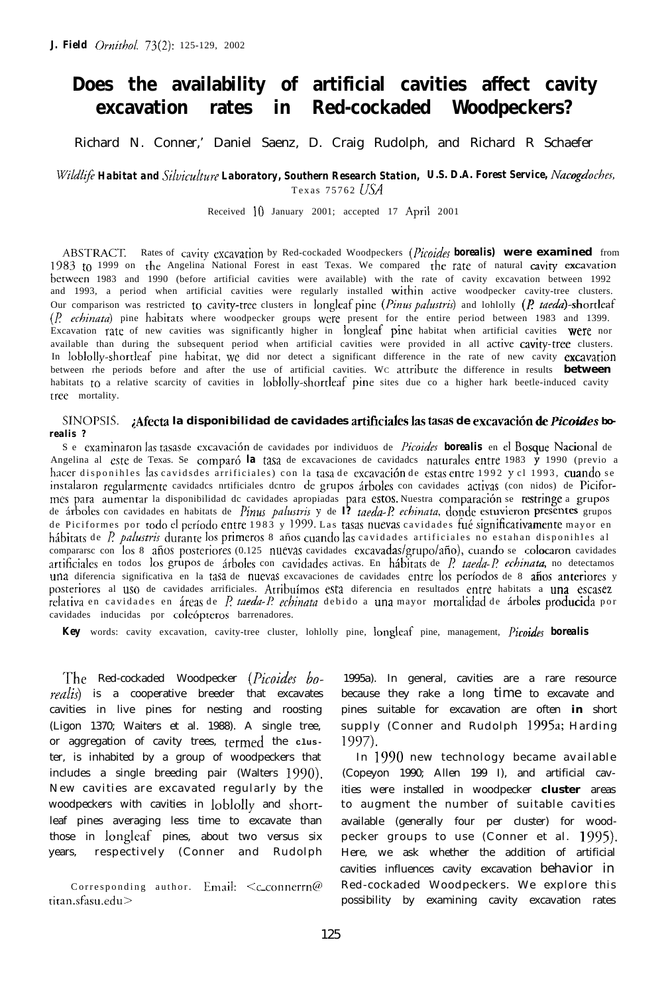# **Does the availability of artificial cavities affect cavity excavation rates in Red-cockaded Woodpeckers?**

Richard N. Conner,' Daniel Saenz, D. Craig Rudolph, and Richard R Schaefer

*Wild@ Habitat and Sihiculture Laboratory, Southern Research Station, U.S. D.A. Forest Service, Nacogdoches,* Texas 75762 *1JSA*

Received IO January 2001; accepted 17 Aprii 2001

ABSI'RACT. Rates of caviry cxcavarion by Red-cockaded Woodpeckers *(Picoides borealis)* **were examined** from 1983 to 1999 on the Angelina National Forest in east Texas. We compared the rate of natural cavity excavation herween 1983 and 1990 (before artificial cavities were available) with the rate of cavity excavation between 1992 and 1993, a period when artificial cavities were regularly installed within active woodpecker cavity-tree clusters. Our comparison was restricted to cavity-tree clusters in longleaf pine *(Pinus palustris)* and lohlolly *(P. taeda*)-shortleaf *(I? rchinata)* pine hahirars where woodpecker groups were present for the entire period between 1983 and 1399. Excavation rate of new cavities was significantly higher in longleaf pine habitat when artificial cavities were nor available than during the subsequent period when artificial cavities were provided in all active cavity-tree clusters. In loblolly-shortleaf pine habitat, we did nor detect a significant difference in the rate of new cavity excavation between rhe periods before and after the use of artificial cavities. W<sup>C</sup> attriburc the difference in results **between** habitats to a relative scarcity of cavities in loblolly-shortleaf pine sites due co a higher hark beetle-induced cavity rree mortality.

SINOPSIS. ¿Afecta la disponibilidad de cavidades artificiales las tasas de excavación de Picoides bo*realis ?*

Se examinaron las tasas de excavación de cavidades por individuos de *Picoides* **borealis** en el Bosque Nacional de Angelina al este de Texas. Se comparó *la* tasa de excavaciones de cavidades naturales entre 1983 y 1990 (previo a hacer disponihles las cavidsdes arrificiales) con la tasa de excavación de estas entre 1992 y cl 1993, cuando se instalaron regularmente cavidadcs nrtificiales dentro de grupos árboles con cavidades activas (con nidos) de Piciformes para aumentar la disponibilidad dc cavidades apropiadas para estos. Nuestra comparación se restringe a grupos de &boles con cavidades en habitats de *I&us palustvis <sup>v</sup>* de *I? raeda-I? echinata,* donde estuvieron prescnres grupos de Piciformes por todo el período entre 1983 y 1999. Las tasas nuevas cavidades fué significativamente mayor en hábitats de *P. palustris* durante los primeros 8 años cuando las cavidades artificiales no estahan disponihles al compararsc con los 8 años posteriores (0.125 nuevas cavidades excavadas/grupo/año), cuando se colocaron cavidades artificiales en todos los grupos de árboles con cavidades activas. En hábitats de P. *taeda-P. echinata*, no detectamos una diferencia significativa en la tasa de nuevas excavaciones de cavidades entre los períodos de 8 años anteriores y posteriores al use de cavidades arrificiales. Arrihuimos esca diferencia en resultados enrre habitats a **una escasez** .<br>relativa en cavidades en áreas de *P. taeda-P. echinata* debido a una mayor mortalidad de árbol**es producid**a por cavidades inducidas por coleópteros barrenadores.

*Key* words: cavity excavation, cavity-tree cluster, lohlolly pine, longleaf pine, management, Picoides *borealis*

The Red-cockaded Woodpecker *(I'icoides bo* $realis$ ) is a cooperative breeder that excavates cavities in live pines for nesting and roosting (Ligon 1370; Waiters et al. 1988). A single tree, or aggregation of cavity trees, termed the **clus**ter, is inhabited by a group of woodpeckers that includes a single breeding pair (Walters 1970). New cavities are excavated regularly by the woodpeckers with cavities in loblolly and shortleaf pines averaging less time to excavate than those in longleaf pines, about two versus six years, respectively (Conner and Rudolph

Corresponding author. Email:  $\leq c$  connerrn@ titan.sfasu.edu>

1995a). In general, cavities are a rare resource because they rake a long time to excavate and pines suitable for excavation are often **in** short supply (Conner and Rudolph 1995a; Harding 1997).

In 1990 new technology became available (Copeyon 1990; Allen 199 I), and artificial cavities were installed in woodpecker **cluster** areas to augment the number of suitable cavities available (generally four per cluster) for woodpecker groups to use (Conner et al. 1995). Here, we ask whether the addition of artificial cavities influences cavity excavation behavior in Red-cockaded Woodpeckers. We explore this possibility by examining cavity excavation rates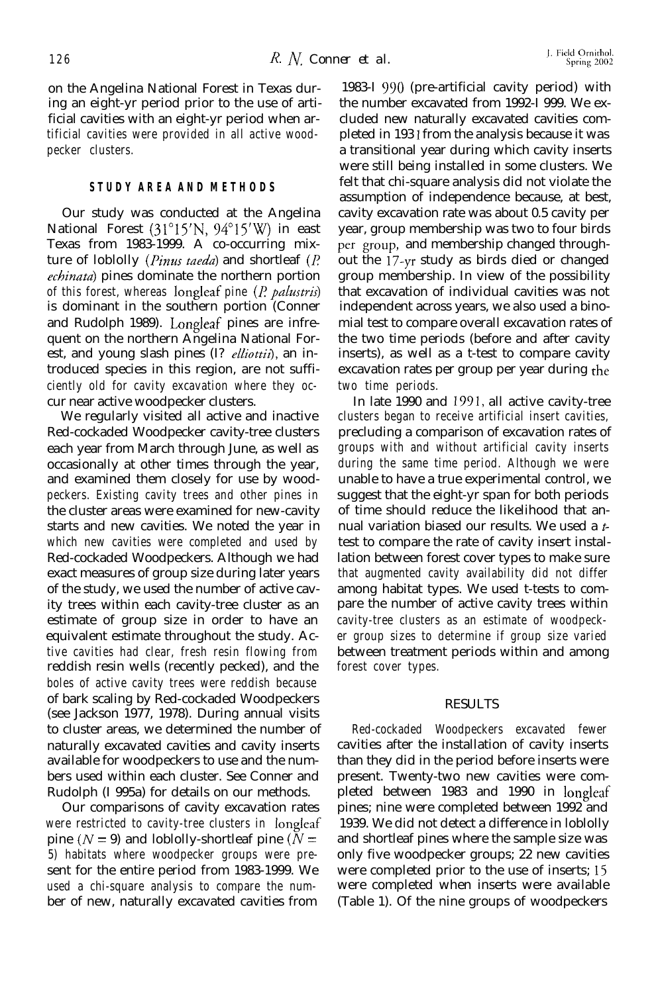on the Angelina National Forest in Texas during an eight-yr period prior to the use of artificial cavities with an eight-yr period when artificial cavities were provided in all active woodpecker clusters.

## **STUDY AREA AND METHODS**

Our study was conducted at the Angelina National Forest (31°15'N, 94°15'W) in east Texas from 1983-1999. A co-occurring mixture of loblolly (*Pinus taeda*) and shortleaf (*P*. echinata) pines dominate the northern portion of this forest, whereas longleaf pine (P *pahstris)* is dominant in the southern portion (Conner and Rudolph 1989). Longleaf pines are infrequent on the northern Angelina National Forest, and young slash pines (I? *elliottii*), an introduced species in this region, are not sufficiently old for cavity excavation where they occur near active woodpecker clusters.

We regularly visited all active and inactive Red-cockaded Woodpecker cavity-tree clusters each year from March through June, as well as occasionally at other times through the year, and examined them closely for use by woodpeckers. Existing cavity trees and other pines in the cluster areas were examined for new-cavity starts and new cavities. We noted the year in which new cavities were completed and used by Red-cockaded Woodpeckers. Although we had exact measures of group size during later years of the study, we used the number of active cavity trees within each cavity-tree cluster as an estimate of group size in order to have an equivalent estimate throughout the study. Active cavities had clear, fresh resin flowing from reddish resin wells (recently pecked), and the boles of active cavity trees were reddish because of bark scaling by Red-cockaded Woodpeckers (see Jackson 1977, 1978). During annual visits to cluster areas, we determined the number of naturally excavated cavities and cavity inserts available for woodpeckers to use and the numbers used within each cluster. See Conner and Rudolph (I 995a) for details on our methods.

Our comparisons of cavity excavation rates were restricted to cavity-tree clusters in longleaf pine ( $N = 9$ ) and loblolly-shortleaf pine ( $N =$ 5) habitats where woodpecker groups were present for the entire period from 1983-1999. We used a chi-square analysis to compare the number of new, naturally excavated cavities from

1983-I 990 (pre-artificial cavity period) with the number excavated from 1992-I 999. We excluded new naturally excavated cavities completed in 193 1 from the analysis because it was a transitional year during which cavity inserts were still being installed in some clusters. We felt that chi-square analysis did not violate the assumption of independence because, at best, cavity excavation rate was about 0.5 cavity per year, group membership was two to four birds per group, and membership changed throughout the I7-yr study as birds died or changed group membership. In view of the possibility that excavation of individual cavities was not independent across years, we also used a binomial test to compare overall excavation rates of the two time periods (before and after cavity inserts), as well as a t-test to compare cavity excavation rates per group per year during the two time periods.

In late 1990 and 1391, all active cavity-tree clusters began to receive artificial insert cavities, precluding a comparison of excavation rates of groups with and without artificial cavity inserts during the same time period. Although we were unable to have a true experimental control, we suggest that the eight-yr span for both periods of time should reduce the likelihood that annual variation biased our results. We used a  $t$ test to compare the rate of cavity insert installation between forest cover types to make sure that augmented cavity availability did not differ among habitat types. We used t-tests to compare the number of active cavity trees within cavity-tree clusters as an estimate of woodpecker group sizes to determine if group size varied between treatment periods within and among forest cover types.

#### RESULTS

Red-cockaded Woodpeckers excavated fewer cavities after the installation of cavity inserts than they did in the period before inserts were present. Twenty-two new cavities were completed between 1983 and 1990 in longleaf pines; nine were completed between 1992 and 1939. We did not detect a difference in loblolly and shortleaf pines where the sample size was only five woodpecker groups; 22 new cavities were completed prior to the use of inserts; I5 were completed when inserts were available (Table 1). Of the nine groups of woodpeckers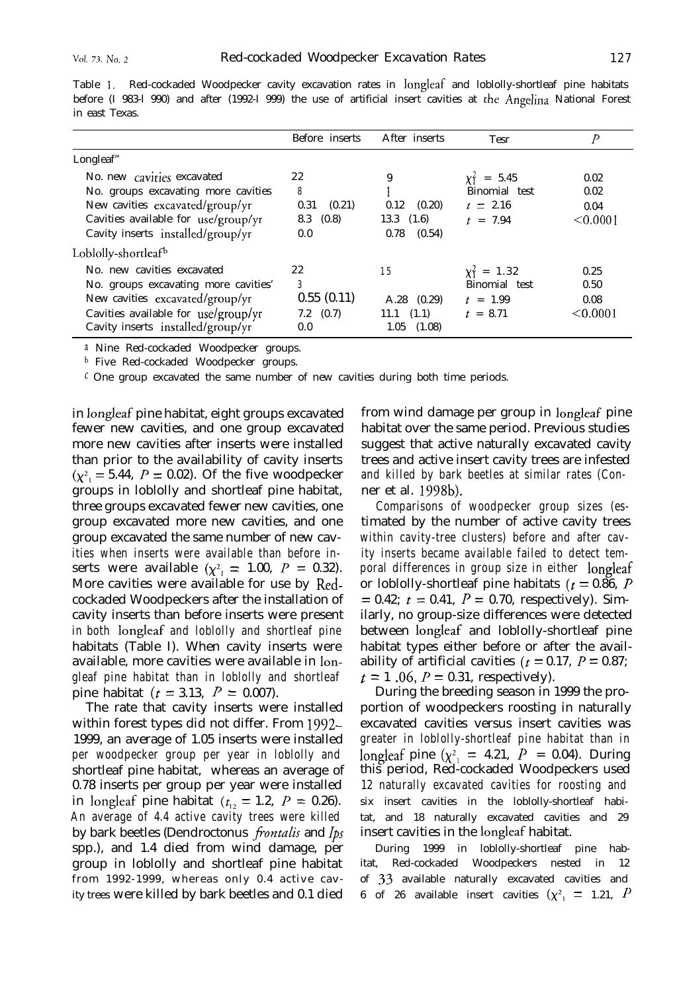|                                                                                                                                                                                   | Before inserts                                        | After inserts                                                 | <b>Tesr</b>                                                    |                                  |
|-----------------------------------------------------------------------------------------------------------------------------------------------------------------------------------|-------------------------------------------------------|---------------------------------------------------------------|----------------------------------------------------------------|----------------------------------|
| Longleaf"                                                                                                                                                                         |                                                       |                                                               |                                                                |                                  |
| No. new cavities excavated<br>No. groups excavating more cavities<br>New cavities excavated/group/yr<br>Cavities available for use/group/yr<br>Cavity inserts installed/group/yr  | 22<br>8<br>(0.21)<br>0.31<br>$8.3 \quad (0.8)$<br>0.0 | 9<br>(0.20)<br>0.12<br>$13.3 \quad (1.6)$<br>(0.54)<br>0.78   | $\chi_1^2 = 5.45$<br>Binomial test<br>$t = 2.16$<br>$t = 7.94$ | 0.02<br>0.02<br>0.04<br>< 0.0001 |
| Loblolly-shortleaf <sup>b</sup>                                                                                                                                                   |                                                       |                                                               |                                                                |                                  |
| No. new cavities excavated<br>No. groups excavating more cavities'<br>New cavities excavated/group/yr<br>Cavities available for use/group/yr<br>Cavity inserts installed/group/yr | 22<br>3<br>0.55(0.11)<br>$7.2 \quad (0.7)$<br>0.0     | 15<br>$A.28$ $(0.29)$<br>$11.1 \quad (1.1)$<br>(1.08)<br>1.05 | $y_1^2 = 1.32$<br>Binomial test<br>$t = 1.99$<br>$t = 8.71$    | 0.25<br>0.50<br>0.08<br>< 0.0001 |

Table 1. Red-cockaded Woodpecker cavity excavation rates in longleaf and loblolly-shortleaf pine habitats before (I 983-l 990) and after (1992-I 999) the use of artificial insert cavities at the Angelina National Forest in east Texas.

a Nine Red-cockaded Woodpecker groups.

b Five Red-cockaded Woodpecker groups.

 $\epsilon$  One group excavated the same number of new cavities during both time periods.

in longleaf pine habitat, eight groups excavated fewer new cavities, and one group excavated more new cavities after inserts were installed than prior to the availability of cavity inserts  $(\chi^2)$  = 5.44,  $P = 0.02$ ). Of the five woodpecker groups in loblolly and shortleaf pine habitat, three groups excavated fewer new cavities, one group excavated more new cavities, and one group excavated the same number of new cavities when inserts were available than before inserts were available  $(\chi^2) = 1.00$ ,  $P = 0.32$ . More cavities were available for use by Redcockaded Woodpeckers after the installation of cavity inserts than before inserts were present in both longleaf and loblolly and shortleaf pine habitats (Table I). When cavity inserts were available, more cavities were available in longleaf pine habitat than in loblolly and shortleaf pine habitat ( $t = 3.13$ ,  $P = 0.007$ ).

The rate that cavity inserts were installed within forest types did not differ. From 1992- 1999, an average of 1.05 inserts were installed per woodpecker group per year in loblolly and shortleaf pine habitat, whereas an average of 0.78 inserts per group per year were installed in longleaf pine habitat ( $t_{12} = 1.2$ ,  $P = 0.26$ ). An average of 4.4 active cavity trees were killed by bark beetles *(Dendroctonus frontalis* and *lps* spp.), and 1.4 died from wind damage, per group in loblolly and shortleaf pine habitat from 1992-1999, whereas only 0.4 active cavity trees were killed by bark beetles and 0.1 died

from wind damage per group in longleaf pine habitat over the same period. Previous studies suggest that active naturally excavated cavity trees and active insert cavity trees are infested and killed by bark beetles at similar rates (Conner et al. 1998b).

Comparisons of woodpecker group sizes (estimated by the number of active cavity trees within cavity-tree clusters) before and after cavity inserts became available failed to detect temporal differences in group size in either longleaf or loblolly-shortleaf pine habitats ( $t = 0.86$ , P  $= 0.42; t = 0.41, P = 0.70$ , respectively). Similarly, no group-size differences were detected between longleaf and loblolly-shortleaf pine habitat types either before or after the availability of artificial cavities ( $t = 0.17$ ,  $P = 0.87$ ;  $t = 1$  .06,  $P = 0.31$ , respectively).

During the breeding season in 1999 the proportion of woodpeckers roosting in naturally excavated cavities versus insert cavities was greater in loblolly-shortleaf pine habitat than in longleaf pine  $(\chi^2) = 4.21$ ,  $\hat{P} = 0.04$ ). During this period, Red-cockaded Woodpeckers used 12 naturally excavated cavities for roosting and six insert cavities in the loblolly-shortleaf habitat, and 18 naturally excavated cavities and 29 insert cavities in the longleaf habitat.

During 1999 in loblolly-shortleaf pine habitat, Red-cockaded Woodpeckers nested in 12 of 33 available naturally excavated cavities and 6 of 26 available insert cavities  $(\chi^2)$  = 1.21, P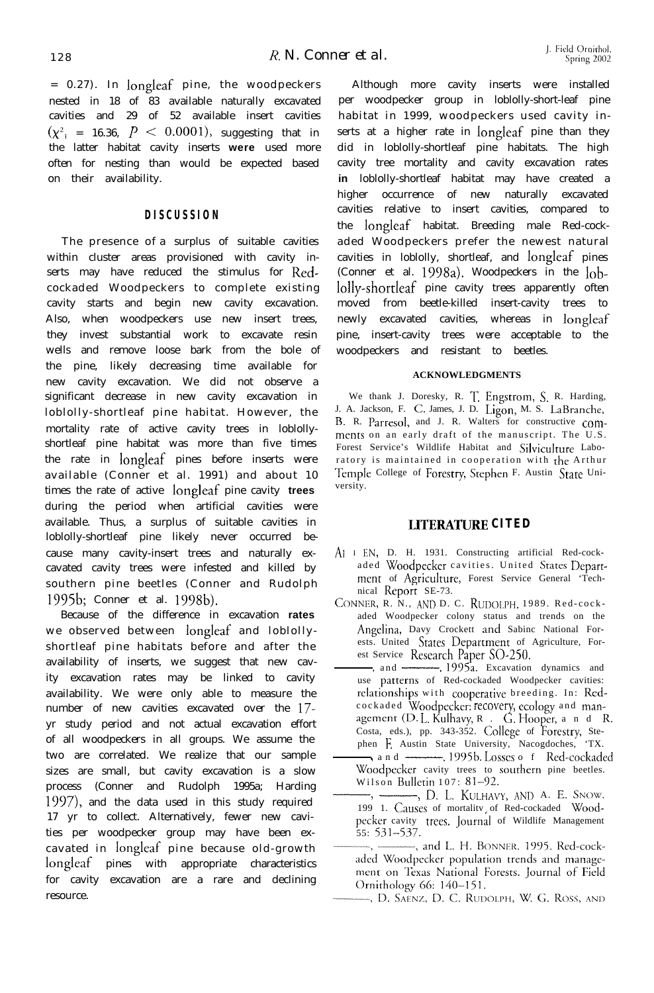= 0.27). In longleaf pine, the woodpeckers nested in 18 of 83 available naturally excavated cavities and 29 of 52 available insert cavities  $(\chi^2)$  = 16.36,  $P \le 0.0001$ , suggesting that in the latter habitat cavity inserts **were** used more often for nesting than would be expected based on their availability.

## **DISCUSSION**

The presence of a surplus of suitable cavities within cluster areas provisioned with cavity inserts may have reduced the stimulus for Redcockaded Woodpeckers to complete existing cavity starts and begin new cavity excavation. Also, when woodpeckers use new insert trees, they invest substantial work to excavate resin wells and remove loose bark from the bole of the pine, likely decreasing time available for new cavity excavation. We did not observe a significant decrease in new cavity excavation in loblolly-shortleaf pine habitat. However, the mortality rate of active cavity trees in loblollyshortleaf pine habitat was more than five times the rate in longleaf pines before inserts were available (Conner et al. 1991) and about 10 times the rate of active longleaf pine cavity **trees** during the period when artificial cavities were available. Thus, a surplus of suitable cavities in loblolly-shortleaf pine likely never occurred because many cavity-insert trees and naturally excavated cavity trees were infested and killed by southern pine beetles (Conner and Rudolph 1995b; Conner et al. 1998b).

Because of the difference in excavation **rates** we observed between longleaf and loblollyshortleaf pine habitats before and after the availability of inserts, we suggest that new cavity excavation rates may be linked to cavity availability. We were only able to measure the number of new cavities excavated over the 17 yr study period and not actual excavation effort of all woodpeckers in all groups. We assume the two are correlated. We realize that our sample sizes are small, but cavity excavation is a slow process (Conner and Rudolph 1995a; Harding 1997), and the data used in this study required 17 yr to collect. Alternatively, fewer new cavities per woodpecker group may have been excavated in longleaf pine because old-growth longleaf pines with appropriate characteristics for cavity excavation are a rare and declining resource.

Although more cavity inserts were installed per woodpecker group in loblolly-short-leaf pine habitat in 1999, woodpeckers used cavity inserts at a higher rate in longleaf pine than they did in loblolly-shortleaf pine habitats. The high cavity tree mortality and cavity excavation rates **in** loblolly-shortleaf habitat may have created a higher occurrence of new naturally excavated cavities relative to insert cavities, compared to the longleaf habitat. Breeding male Red-cockaded Woodpeckers prefer the newest natural cavities in loblolly, shortleaf, and longleaf pines (Conner et al. 1998a). Woodpeckers in the loblolly-shortleaf pine cavity trees apparently often moved from beetle-killed insert-cavity trees to newly excavated cavities, whereas in longleaf pine, insert-cavity trees were acceptable to the woodpeckers and resistant to beetles.

#### **ACKNOWLEDGMENTS**

We thank J. Doresky, R. T. Engstrom, S. R. Harding, J. A. Jackson, F. C. James, J. D. Ligon, M. S. LaBranche, B. R. Parresol, and J. R. Walters for constructive comments on an early draft of the manuscript. The U.S. Forest Service's Wildlife Habitat and Silviculture Laboratory is maintained in cooperation with the Arthur Temple College of Foresrry, Stephen F. Austin State University.

### **LITERATURE CITED**

- Ai I EN, D. H. 1931. Constructing artificial Red-cockaded Woodpecker cavities. United States Department of Agriculture, Forest Service General 'Technical Report SE-73.
- CONNER, R. N., AND D. C. RUDOLPH. 1989. Red-cockaded Woodpecker colony status and trends on the Angelina, Davy Crockett and Sabinc National Forests. United States Department of Agriculture, Forest Service Research Paper SO-250.
- $-$ , and  $-$ , 1995<sup>a</sup>. Excavation dynamics and use patterns of Red-cockaded Woodpecker cavities: relationships with coopcrativc breeding. In: Redcockaded Woodpecker: recovery, ecology and management  $(D. L.$  Kulhavy,  $R.$   $\therefore$  G. Hooper, and R. Costa, eds.), pp. 343-352. College of Forestry, Stekaded Woodpecker: recovery, ecology and man-<br>ment (D. L. Kulhavy, R . G. Hooper, a n d I<br>ta, eds.), pp. 343-352. College of Forestry, Ste-<br>n F. Austin State University, Nacogdoches, 'TX.<br>a n d —————————————————————————————
- phen F. Austin State University, Nacogdoches, 'TX.<br>
and 1995b. Losses o f Red-cockaded Woodpecker cavity trees to sourhern pine beetles. Wilson Rulletin 107: 81-92. From 1. Australian Sales of Software, 1995b. Losses of Red-cockadella Moodpecker cavity trees to southern pine beetles<br>Wilson Bulletin 107: 81–92.<br>199 1. Causes of mortality of Red-cockaded Wood
- peckcr cavity trees. Journal of Wildlife Management 55: 531-537.
- aded Woodpecker population trends and management on Texas National Forests. Journal of Field Ornithology 66: 140-151.
- -, D. SAENZ, D. C. RUDOLPH, W. G. ROSS, AND